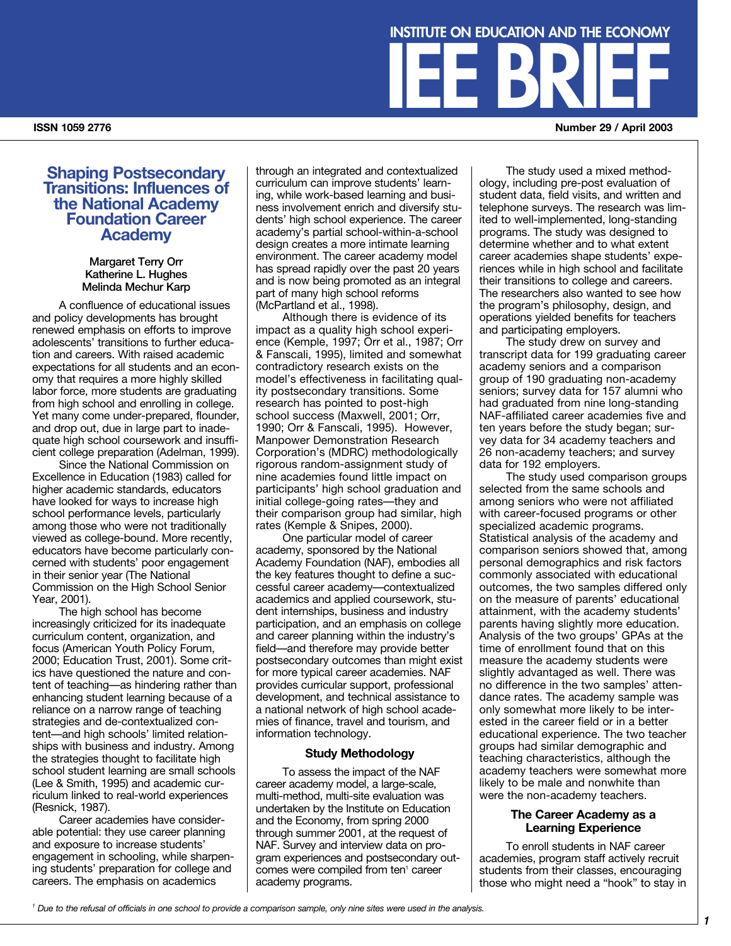# **Shaping Postsecondary Transitions: Influences of the National Academy Foundation Career Academy**

## **Margaret Terry Orr Katherine L. Hughes Melinda Mechur Karp**

A confluence of educational issues and policy developments has brought renewed emphasis on efforts to improve adolescents' transitions to further education and careers. With raised academic expectations for all students and an economy that requires a more highly skilled labor force, more students are graduating from high school and enrolling in college. Yet many come under-prepared, flounder, and drop out, due in large part to inadequate high school coursework and insufficient college preparation (Adelman, 1999).

Since the National Commission on Excellence in Education (1983) called for higher academic standards, educators have looked for ways to increase high school performance levels, particularly among those who were not traditionally viewed as college-bound. More recently, educators have become particularly concerned with students' poor engagement in their senior year (The National Commission on the High School Senior Year, 2001).

The high school has become increasingly criticized for its inadequate curriculum content, organization, and focus (American Youth Policy Forum, 2000; Education Trust, 2001). Some critics have questioned the nature and content of teaching—as hindering rather than enhancing student learning because of a reliance on a narrow range of teaching strategies and de-contextualized content—and high schools' limited relationships with business and industry. Among the strategies thought to facilitate high school student learning are small schools (Lee & Smith, 1995) and academic curriculum linked to real-world experiences (Resnick, 1987).

Career academies have considerable potential: they use career planning and exposure to increase students' engagement in schooling, while sharpening students' preparation for college and careers. The emphasis on academics

through an integrated and contextualized curriculum can improve students' learning, while work-based learning and business involvement enrich and diversify students' high school experience. The career academy's partial school-within-a-school design creates a more intimate learning environment. The career academy model has spread rapidly over the past 20 years and is now being promoted as an integral part of many high school reforms (McPartland et al., 1998).

Although there is evidence of its impact as a quality high school experience (Kemple, 1997; Orr et al., 1987; Orr & Fanscali, 1995), limited and somewhat contradictory research exists on the model's effectiveness in facilitating quality postsecondary transitions. Some research has pointed to post-high school success (Maxwell, 2001; Orr, 1990; Orr & Fanscali, 1995). However, Manpower Demonstration Research Corporation's (MDRC) methodologically rigorous random-assignment study of nine academies found little impact on participants' high school graduation and initial college-going rates—they and their comparison group had similar, high rates (Kemple & Snipes, 2000).

One particular model of career academy, sponsored by the National Academy Foundation (NAF), embodies all the key features thought to define a successful career academy—contextualized academics and applied coursework, student internships, business and industry participation, and an emphasis on college and career planning within the industry's field—and therefore may provide better postsecondary outcomes than might exist for more typical career academies. NAF provides curricular support, professional development, and technical assistance to a national network of high school academies of finance, travel and tourism, and information technology.

## **Study Methodology**

To assess the impact of the NAF career academy model, a large-scale, multi-method, multi-site evaluation was undertaken by the Institute on Education and the Economy, from spring 2000 through summer 2001, at the request of NAF. Survey and interview data on program experiences and postsecondary outcomes were compiled from ten<sup>1</sup> career academy programs.

The study used a mixed methodology, including pre-post evaluation of student data, field visits, and written and telephone surveys. The research was limited to well-implemented, long-standing programs. The study was designed to determine whether and to what extent career academies shape students' experiences while in high school and facilitate their transitions to college and careers. The researchers also wanted to see how the program's philosophy, design, and operations yielded benefits for teachers and participating employers.

**INSTITUTE ON EDUCATION AND THE ECONOMY**

The study drew on survey and transcript data for 199 graduating career academy seniors and a comparison group of 190 graduating non-academy seniors; survey data for 157 alumni who had graduated from nine long-standing NAF-affiliated career academies five and ten years before the study began; survey data for 34 academy teachers and 26 non-academy teachers; and survey data for 192 employers.

The study used comparison groups selected from the same schools and among seniors who were not affiliated with career-focused programs or other specialized academic programs. Statistical analysis of the academy and comparison seniors showed that, among personal demographics and risk factors commonly associated with educational outcomes, the two samples differed only on the measure of parents' educational attainment, with the academy students' parents having slightly more education. Analysis of the two groups' GPAs at the time of enrollment found that on this measure the academy students were slightly advantaged as well. There was no difference in the two samples' attendance rates. The academy sample was only somewhat more likely to be interested in the career field or in a better educational experience. The two teacher groups had similar demographic and teaching characteristics, although the academy teachers were somewhat more likely to be male and nonwhite than were the non-academy teachers.

## **The Career Academy as a Learning Experience**

To enroll students in NAF career academies, program staff actively recruit students from their classes, encouraging those who might need a "hook" to stay in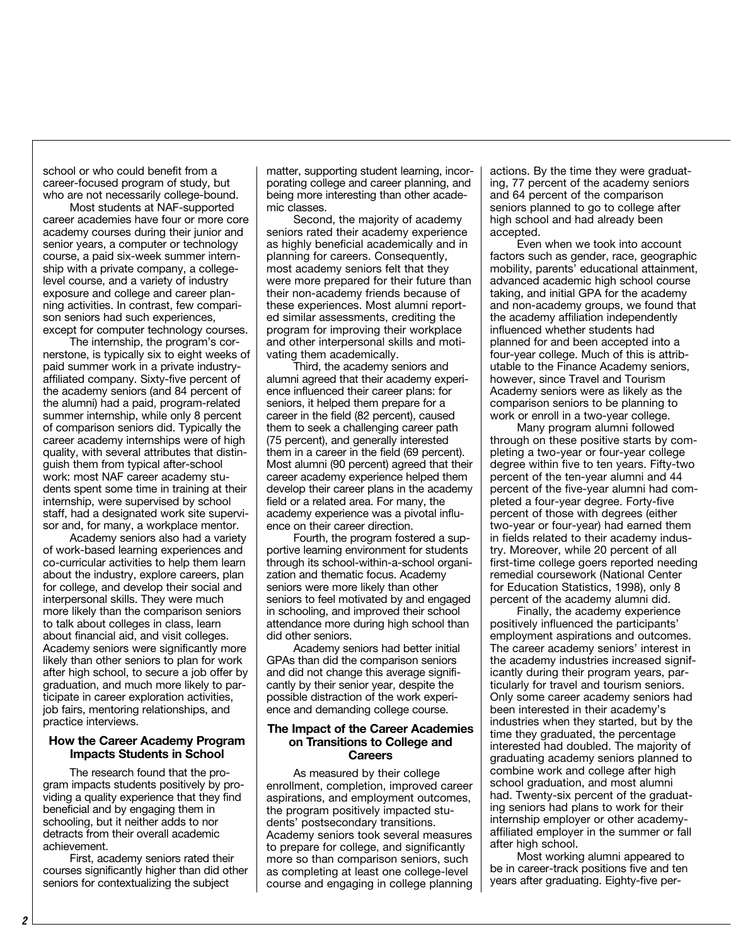school or who could benefit from a career-focused program of study, but who are not necessarily college-bound.

Most students at NAF-supported career academies have four or more core academy courses during their junior and senior years, a computer or technology course, a paid six-week summer internship with a private company, a collegelevel course, and a variety of industry exposure and college and career planning activities. In contrast, few comparison seniors had such experiences, except for computer technology courses.

The internship, the program's cornerstone, is typically six to eight weeks of paid summer work in a private industryaffiliated company. Sixty-five percent of the academy seniors (and 84 percent of the alumni) had a paid, program-related summer internship, while only 8 percent of comparison seniors did. Typically the career academy internships were of high quality, with several attributes that distinguish them from typical after-school work: most NAF career academy students spent some time in training at their internship, were supervised by school staff, had a designated work site supervisor and, for many, a workplace mentor.

Academy seniors also had a variety of work-based learning experiences and co-curricular activities to help them learn about the industry, explore careers, plan for college, and develop their social and interpersonal skills. They were much more likely than the comparison seniors to talk about colleges in class, learn about financial aid, and visit colleges. Academy seniors were significantly more likely than other seniors to plan for work after high school, to secure a job offer by graduation, and much more likely to participate in career exploration activities, job fairs, mentoring relationships, and practice interviews.

## **How the Career Academy Program Impacts Students in School**

The research found that the program impacts students positively by providing a quality experience that they find beneficial and by engaging them in schooling, but it neither adds to nor detracts from their overall academic achievement.

First, academy seniors rated their courses significantly higher than did other seniors for contextualizing the subject

matter, supporting student learning, incorporating college and career planning, and being more interesting than other academic classes.

Second, the majority of academy seniors rated their academy experience as highly beneficial academically and in planning for careers. Consequently, most academy seniors felt that they were more prepared for their future than their non-academy friends because of these experiences. Most alumni reported similar assessments, crediting the program for improving their workplace and other interpersonal skills and motivating them academically.

Third, the academy seniors and alumni agreed that their academy experience influenced their career plans: for seniors, it helped them prepare for a career in the field (82 percent), caused them to seek a challenging career path (75 percent), and generally interested them in a career in the field (69 percent). Most alumni (90 percent) agreed that their career academy experience helped them develop their career plans in the academy field or a related area. For many, the academy experience was a pivotal influence on their career direction.

Fourth, the program fostered a supportive learning environment for students through its school-within-a-school organization and thematic focus. Academy seniors were more likely than other seniors to feel motivated by and engaged in schooling, and improved their school attendance more during high school than did other seniors.

Academy seniors had better initial GPAs than did the comparison seniors and did not change this average significantly by their senior year, despite the possible distraction of the work experience and demanding college course.

## **The Impact of the Career Academies on Transitions to College and Careers**

As measured by their college enrollment, completion, improved career aspirations, and employment outcomes, the program positively impacted students' postsecondary transitions. Academy seniors took several measures to prepare for college, and significantly more so than comparison seniors, such as completing at least one college-level course and engaging in college planning actions. By the time they were graduating, 77 percent of the academy seniors and 64 percent of the comparison seniors planned to go to college after high school and had already been accepted.

Even when we took into account factors such as gender, race, geographic mobility, parents' educational attainment, advanced academic high school course taking, and initial GPA for the academy and non-academy groups, we found that the academy affiliation independently influenced whether students had planned for and been accepted into a four-year college. Much of this is attributable to the Finance Academy seniors, however, since Travel and Tourism Academy seniors were as likely as the comparison seniors to be planning to work or enroll in a two-year college.

Many program alumni followed through on these positive starts by completing a two-year or four-year college degree within five to ten years. Fifty-two percent of the ten-year alumni and 44 percent of the five-year alumni had completed a four-year degree. Forty-five percent of those with degrees (either two-year or four-year) had earned them in fields related to their academy industry. Moreover, while 20 percent of all first-time college goers reported needing remedial coursework (National Center for Education Statistics, 1998), only 8 percent of the academy alumni did.

Finally, the academy experience positively influenced the participants' employment aspirations and outcomes. The career academy seniors' interest in the academy industries increased significantly during their program years, particularly for travel and tourism seniors. Only some career academy seniors had been interested in their academy's industries when they started, but by the time they graduated, the percentage interested had doubled. The majority of graduating academy seniors planned to combine work and college after high school graduation, and most alumni had. Twenty-six percent of the graduating seniors had plans to work for their internship employer or other academyaffiliated employer in the summer or fall after high school.

Most working alumni appeared to be in career-track positions five and ten years after graduating. Eighty-five per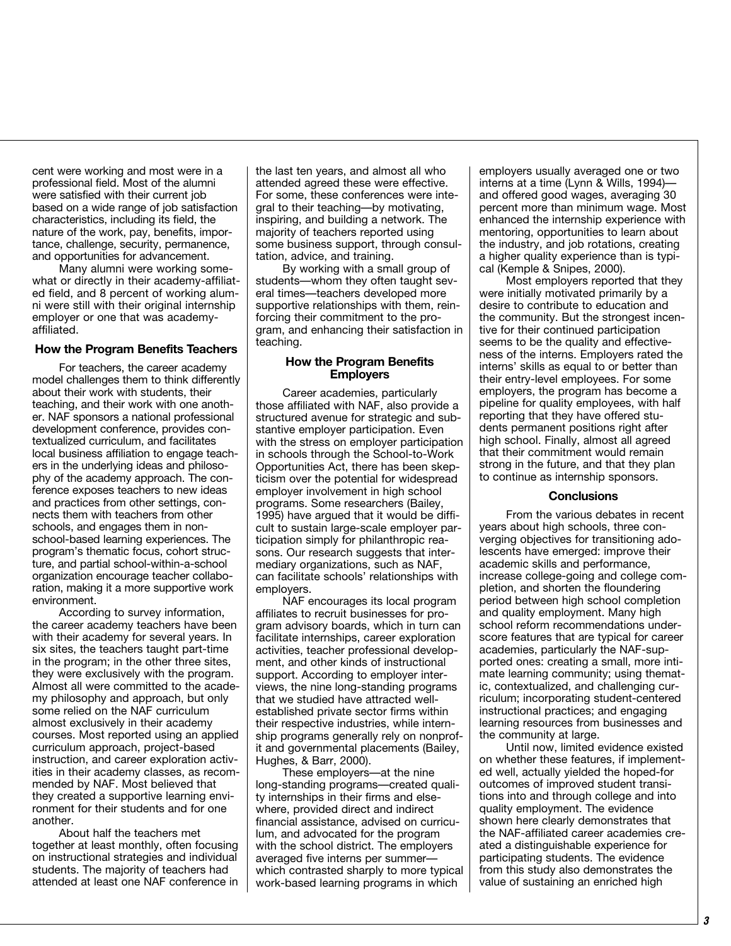cent were working and most were in a professional field. Most of the alumni were satisfied with their current job based on a wide range of job satisfaction characteristics, including its field, the nature of the work, pay, benefits, importance, challenge, security, permanence, and opportunities for advancement.

Many alumni were working somewhat or directly in their academy-affiliated field, and 8 percent of working alumni were still with their original internship employer or one that was academyaffiliated.

## **How the Program Benefits Teachers**

For teachers, the career academy model challenges them to think differently about their work with students, their teaching, and their work with one another. NAF sponsors a national professional development conference, provides contextualized curriculum, and facilitates local business affiliation to engage teachers in the underlying ideas and philosophy of the academy approach. The conference exposes teachers to new ideas and practices from other settings, connects them with teachers from other schools, and engages them in nonschool-based learning experiences. The program's thematic focus, cohort structure, and partial school-within-a-school organization encourage teacher collaboration, making it a more supportive work environment.

According to survey information, the career academy teachers have been with their academy for several years. In six sites, the teachers taught part-time in the program; in the other three sites, they were exclusively with the program. Almost all were committed to the academy philosophy and approach, but only some relied on the NAF curriculum almost exclusively in their academy courses. Most reported using an applied curriculum approach, project-based instruction, and career exploration activities in their academy classes, as recommended by NAF. Most believed that they created a supportive learning environment for their students and for one another.

About half the teachers met together at least monthly, often focusing on instructional strategies and individual students. The majority of teachers had attended at least one NAF conference in

the last ten years, and almost all who attended agreed these were effective. For some, these conferences were integral to their teaching—by motivating, inspiring, and building a network. The majority of teachers reported using some business support, through consultation, advice, and training.

By working with a small group of students—whom they often taught several times—teachers developed more supportive relationships with them, reinforcing their commitment to the program, and enhancing their satisfaction in teaching.

## **How the Program Benefits Employers**

Career academies, particularly those affiliated with NAF, also provide a structured avenue for strategic and substantive employer participation. Even with the stress on employer participation in schools through the School-to-Work Opportunities Act, there has been skepticism over the potential for widespread employer involvement in high school programs. Some researchers (Bailey, 1995) have argued that it would be difficult to sustain large-scale employer participation simply for philanthropic reasons. Our research suggests that intermediary organizations, such as NAF, can facilitate schools' relationships with employers.

NAF encourages its local program affiliates to recruit businesses for program advisory boards, which in turn can facilitate internships, career exploration activities, teacher professional development, and other kinds of instructional support. According to employer interviews, the nine long-standing programs that we studied have attracted wellestablished private sector firms within their respective industries, while internship programs generally rely on nonprofit and governmental placements (Bailey, Hughes, & Barr, 2000).

These employers—at the nine long-standing programs—created quality internships in their firms and elsewhere, provided direct and indirect financial assistance, advised on curriculum, and advocated for the program with the school district. The employers averaged five interns per summer which contrasted sharply to more typical work-based learning programs in which

employers usually averaged one or two interns at a time (Lynn & Wills, 1994) and offered good wages, averaging 30 percent more than minimum wage. Most enhanced the internship experience with mentoring, opportunities to learn about the industry, and job rotations, creating a higher quality experience than is typical (Kemple & Snipes, 2000).

Most employers reported that they were initially motivated primarily by a desire to contribute to education and the community. But the strongest incentive for their continued participation seems to be the quality and effectiveness of the interns. Employers rated the interns' skills as equal to or better than their entry-level employees. For some employers, the program has become a pipeline for quality employees, with half reporting that they have offered students permanent positions right after high school. Finally, almost all agreed that their commitment would remain strong in the future, and that they plan to continue as internship sponsors.

## **Conclusions**

From the various debates in recent years about high schools, three converging objectives for transitioning adolescents have emerged: improve their academic skills and performance, increase college-going and college completion, and shorten the floundering period between high school completion and quality employment. Many high school reform recommendations underscore features that are typical for career academies, particularly the NAF-supported ones: creating a small, more intimate learning community; using thematic, contextualized, and challenging curriculum; incorporating student-centered instructional practices; and engaging learning resources from businesses and the community at large.

Until now, limited evidence existed on whether these features, if implemented well, actually yielded the hoped-for outcomes of improved student transitions into and through college and into quality employment. The evidence shown here clearly demonstrates that the NAF-affiliated career academies created a distinguishable experience for participating students. The evidence from this study also demonstrates the value of sustaining an enriched high